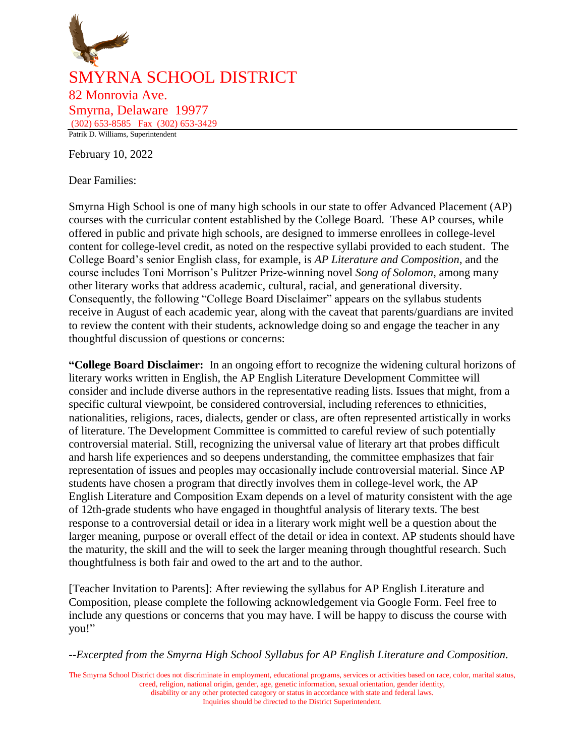

February 10, 2022

Dear Families:

Smyrna High School is one of many high schools in our state to offer Advanced Placement (AP) courses with the curricular content established by the College Board. These AP courses, while offered in public and private high schools, are designed to immerse enrollees in college-level content for college-level credit, as noted on the respective syllabi provided to each student. The College Board's senior English class, for example, is *AP Literature and Composition*, and the course includes Toni Morrison's Pulitzer Prize-winning novel *Song of Solomon*, among many other literary works that address academic, cultural, racial, and generational diversity. Consequently, the following "College Board Disclaimer" appears on the syllabus students receive in August of each academic year, along with the caveat that parents/guardians are invited to review the content with their students, acknowledge doing so and engage the teacher in any thoughtful discussion of questions or concerns:

**"College Board Disclaimer:** In an ongoing effort to recognize the widening cultural horizons of literary works written in English, the AP English Literature Development Committee will consider and include diverse authors in the representative reading lists. Issues that might, from a specific cultural viewpoint, be considered controversial, including references to ethnicities, nationalities, religions, races, dialects, gender or class, are often represented artistically in works of literature. The Development Committee is committed to careful review of such potentially controversial material. Still, recognizing the universal value of literary art that probes difficult and harsh life experiences and so deepens understanding, the committee emphasizes that fair representation of issues and peoples may occasionally include controversial material. Since AP students have chosen a program that directly involves them in college-level work, the AP English Literature and Composition Exam depends on a level of maturity consistent with the age of 12th-grade students who have engaged in thoughtful analysis of literary texts. The best response to a controversial detail or idea in a literary work might well be a question about the larger meaning, purpose or overall effect of the detail or idea in context. AP students should have the maturity, the skill and the will to seek the larger meaning through thoughtful research. Such thoughtfulness is both fair and owed to the art and to the author.

[Teacher Invitation to Parents]: After reviewing the syllabus for AP English Literature and Composition, please complete the following acknowledgement via Google Form. Feel free to include any questions or concerns that you may have. I will be happy to discuss the course with you!"

*--Excerpted from the Smyrna High School Syllabus for AP English Literature and Composition.*

The Smyrna School District does not discriminate in employment, educational programs, services or activities based on race, color, marital status, creed, religion, national origin, gender, age, genetic information, sexual orientation, gender identity, disability or any other protected category or status in accordance with state and federal laws.

Inquiries should be directed to the District Superintendent.